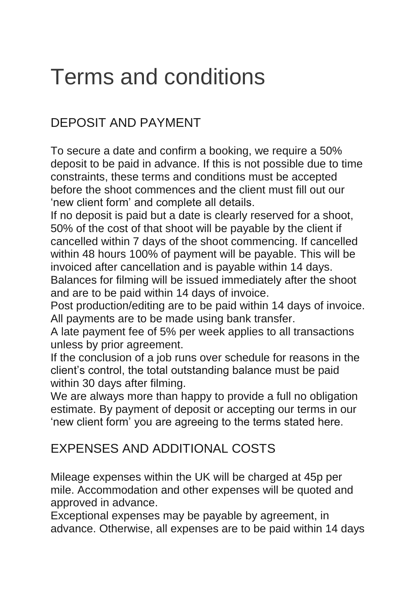# Terms and conditions

## DEPOSIT AND PAYMENT

To secure a date and confirm a booking, we require a 50% deposit to be paid in advance. If this is not possible due to time constraints, these terms and conditions must be accepted before the shoot commences and the client must fill out our 'new client form' and complete all details.

If no deposit is paid but a date is clearly reserved for a shoot, 50% of the cost of that shoot will be payable by the client if cancelled within 7 days of the shoot commencing. If cancelled within 48 hours 100% of payment will be payable. This will be invoiced after cancellation and is payable within 14 days. Balances for filming will be issued immediately after the shoot

and are to be paid within 14 days of invoice.

Post production/editing are to be paid within 14 days of invoice. All payments are to be made using bank transfer.

A late payment fee of 5% per week applies to all transactions unless by prior agreement.

If the conclusion of a job runs over schedule for reasons in the client's control, the total outstanding balance must be paid within 30 days after filming.

We are always more than happy to provide a full no obligation estimate. By payment of deposit or accepting our terms in our 'new client form' you are agreeing to the terms stated here.

#### EXPENSES AND ADDITIONAL COSTS

Mileage expenses within the UK will be charged at 45p per mile. Accommodation and other expenses will be quoted and approved in advance.

Exceptional expenses may be payable by agreement, in advance. Otherwise, all expenses are to be paid within 14 days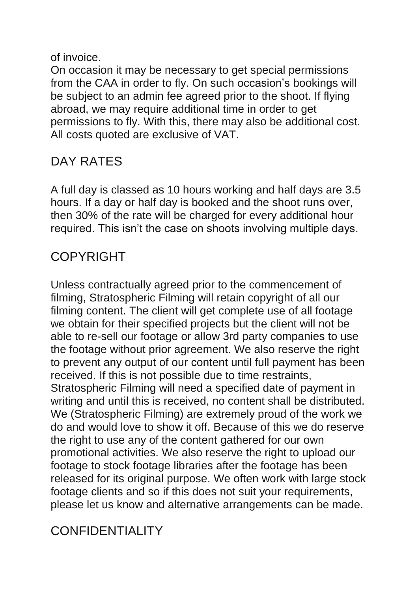of invoice.

On occasion it may be necessary to get special permissions from the CAA in order to fly. On such occasion's bookings will be subject to an admin fee agreed prior to the shoot. If flying abroad, we may require additional time in order to get permissions to fly. With this, there may also be additional cost. All costs quoted are exclusive of VAT.

### DAY RATES

A full day is classed as 10 hours working and half days are 3.5 hours. If a day or half day is booked and the shoot runs over, then 30% of the rate will be charged for every additional hour required. This isn't the case on shoots involving multiple days.

#### COPYRIGHT

Unless contractually agreed prior to the commencement of filming, Stratospheric Filming will retain copyright of all our filming content. The client will get complete use of all footage we obtain for their specified projects but the client will not be able to re-sell our footage or allow 3rd party companies to use the footage without prior agreement. We also reserve the right to prevent any output of our content until full payment has been received. If this is not possible due to time restraints, Stratospheric Filming will need a specified date of payment in writing and until this is received, no content shall be distributed. We (Stratospheric Filming) are extremely proud of the work we do and would love to show it off. Because of this we do reserve the right to use any of the content gathered for our own promotional activities. We also reserve the right to upload our footage to stock footage libraries after the footage has been released for its original purpose. We often work with large stock footage clients and so if this does not suit your requirements, please let us know and alternative arrangements can be made.

#### CONFIDENTIALITY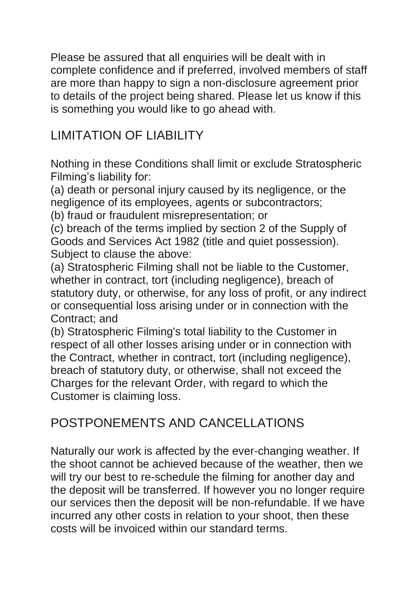Please be assured that all enquiries will be dealt with in complete confidence and if preferred, involved members of staff are more than happy to sign a non-disclosure agreement prior to details of the project being shared. Please let us know if this is something you would like to go ahead with.

### LIMITATION OF LIABILITY

Nothing in these Conditions shall limit or exclude Stratospheric Filming's liability for:

(a) death or personal injury caused by its negligence, or the negligence of its employees, agents or subcontractors;

(b) fraud or fraudulent misrepresentation; or

(c) breach of the terms implied by section 2 of the Supply of Goods and Services Act 1982 (title and quiet possession). Subject to clause the above:

(a) Stratospheric Filming shall not be liable to the Customer, whether in contract, tort (including negligence), breach of statutory duty, or otherwise, for any loss of profit, or any indirect or consequential loss arising under or in connection with the Contract; and

(b) Stratospheric Filming's total liability to the Customer in respect of all other losses arising under or in connection with the Contract, whether in contract, tort (including negligence), breach of statutory duty, or otherwise, shall not exceed the Charges for the relevant Order, with regard to which the Customer is claiming loss.

### POSTPONEMENTS AND CANCELLATIONS

Naturally our work is affected by the ever-changing weather. If the shoot cannot be achieved because of the weather, then we will try our best to re-schedule the filming for another day and the deposit will be transferred. If however you no longer require our services then the deposit will be non-refundable. If we have incurred any other costs in relation to your shoot, then these costs will be invoiced within our standard terms.